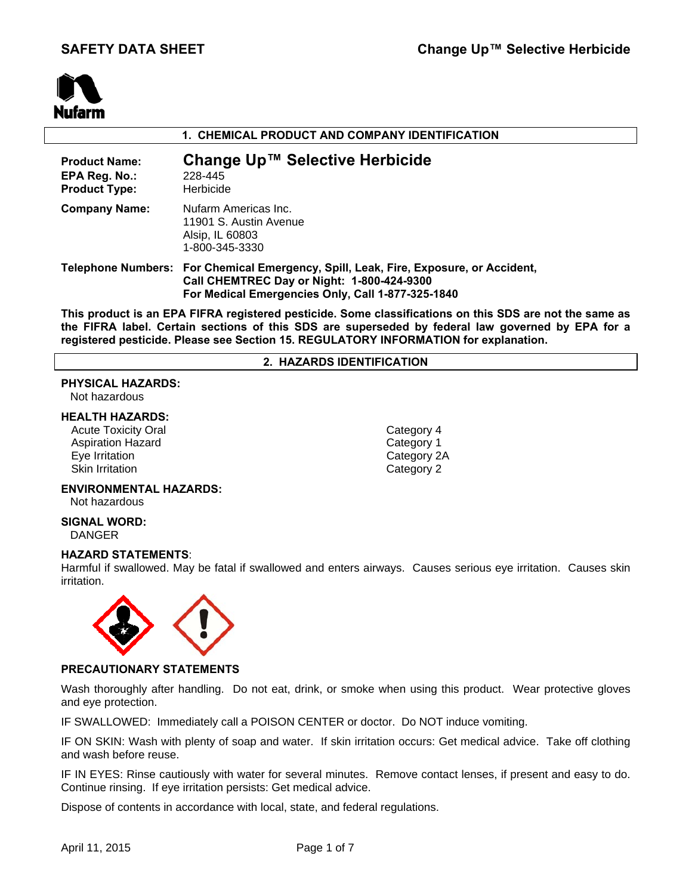

# **1. CHEMICAL PRODUCT AND COMPANY IDENTIFICATION**

| <b>Product Name:</b><br>EPA Reg. No.:<br><b>Product Type:</b> | Change Up™ Selective Herbicide<br>228-445<br>Herbicide                                                                             |
|---------------------------------------------------------------|------------------------------------------------------------------------------------------------------------------------------------|
| <b>Company Name:</b>                                          | Nufarm Americas Inc.<br>11901 S. Austin Avenue<br>Alsip, IL 60803<br>1-800-345-3330                                                |
|                                                               | Telephone Numbers: For Chemical Emergency, Spill, Leak, Fire, Exposure, or Accident,<br>Call CHEMTREC Day or Night: 1-800-424-9300 |

**For Medical Emergencies Only, Call 1-877-325-1840** 

**This product is an EPA FIFRA registered pesticide. Some classifications on this SDS are not the same as the FIFRA label. Certain sections of this SDS are superseded by federal law governed by EPA for a registered pesticide. Please see Section 15. REGULATORY INFORMATION for explanation.**

#### **2. HAZARDS IDENTIFICATION**

#### **PHYSICAL HAZARDS:**

Not hazardous

# **HEALTH HAZARDS:**

Acute Toxicity Oral **Category 4** Aspiration Hazard **Category 1** Eye Irritation **Category 2A** Skin Irritation **Category 2** Category 2

#### **ENVIRONMENTAL HAZARDS:**

Not hazardous

**SIGNAL WORD:** DANGER

#### **HAZARD STATEMENTS**:

Harmful if swallowed. May be fatal if swallowed and enters airways. Causes serious eye irritation. Causes skin irritation.



#### **PRECAUTIONARY STATEMENTS**

Wash thoroughly after handling. Do not eat, drink, or smoke when using this product. Wear protective gloves and eye protection.

IF SWALLOWED: Immediately call a POISON CENTER or doctor. Do NOT induce vomiting.

IF ON SKIN: Wash with plenty of soap and water. If skin irritation occurs: Get medical advice. Take off clothing and wash before reuse.

IF IN EYES: Rinse cautiously with water for several minutes. Remove contact lenses, if present and easy to do. Continue rinsing. If eye irritation persists: Get medical advice.

Dispose of contents in accordance with local, state, and federal regulations.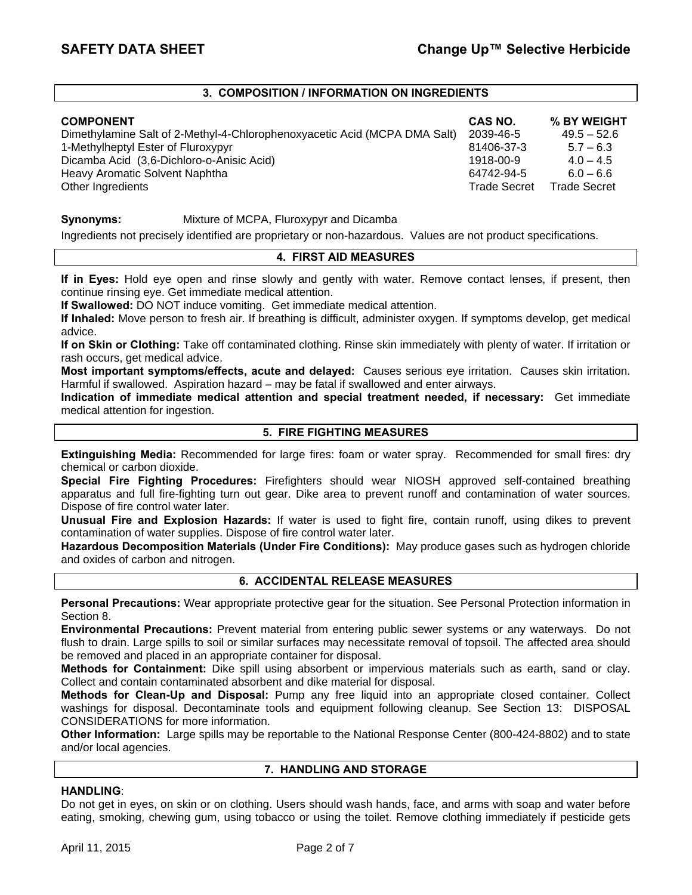# **3. COMPOSITION / INFORMATION ON INGREDIENTS**

**COMPONENT CAS NO. % BY WEIGHT**  Dimethylamine Salt of 2-Methyl-4-Chlorophenoxyacetic Acid (MCPA DMA Salt) 2039-46-5 49.5 – 52.6 1-Methylheptyl Ester of Fluroxypyr 81406-37-3 5.7 – 6.3 Dicamba Acid (3,6-Dichloro-o-Anisic Acid) 1918-00-9 4.0 – 4.5 Heavy Aromatic Solvent Naphtha 6.6 and 5.6 and 64742-94-5 6.0 - 6.6 Other Ingredients **Trade Secret Trade Secret** Trade Secret Trade Secret Trade Secret in the United Secret Secret Integrated Secret in the United Secret in the United Secret in the United Secret in the United Secret in the

# **Synonyms:** Mixture of MCPA, Fluroxypyr and Dicamba

Ingredients not precisely identified are proprietary or non-hazardous. Values are not product specifications.

#### **4. FIRST AID MEASURES**

**If in Eyes:** Hold eye open and rinse slowly and gently with water. Remove contact lenses, if present, then continue rinsing eye. Get immediate medical attention.

**If Swallowed:** DO NOT induce vomiting. Get immediate medical attention.

**If Inhaled:** Move person to fresh air. If breathing is difficult, administer oxygen. If symptoms develop, get medical advice.

**If on Skin or Clothing:** Take off contaminated clothing. Rinse skin immediately with plenty of water. If irritation or rash occurs, get medical advice.

**Most important symptoms/effects, acute and delayed:** Causes serious eye irritation. Causes skin irritation. Harmful if swallowed. Aspiration hazard – may be fatal if swallowed and enter airways.

**Indication of immediate medical attention and special treatment needed, if necessary:** Get immediate medical attention for ingestion.

### **5. FIRE FIGHTING MEASURES**

**Extinguishing Media:** Recommended for large fires: foam or water spray. Recommended for small fires: dry chemical or carbon dioxide.

**Special Fire Fighting Procedures:** Firefighters should wear NIOSH approved self-contained breathing apparatus and full fire-fighting turn out gear. Dike area to prevent runoff and contamination of water sources. Dispose of fire control water later.

**Unusual Fire and Explosion Hazards:** If water is used to fight fire, contain runoff, using dikes to prevent contamination of water supplies. Dispose of fire control water later.

**Hazardous Decomposition Materials (Under Fire Conditions):** May produce gases such as hydrogen chloride and oxides of carbon and nitrogen.

#### **6. ACCIDENTAL RELEASE MEASURES**

**Personal Precautions:** Wear appropriate protective gear for the situation. See Personal Protection information in Section 8.

**Environmental Precautions:** Prevent material from entering public sewer systems or any waterways. Do not flush to drain. Large spills to soil or similar surfaces may necessitate removal of topsoil. The affected area should be removed and placed in an appropriate container for disposal.

**Methods for Containment:** Dike spill using absorbent or impervious materials such as earth, sand or clay. Collect and contain contaminated absorbent and dike material for disposal.

**Methods for Clean-Up and Disposal:** Pump any free liquid into an appropriate closed container. Collect washings for disposal. Decontaminate tools and equipment following cleanup. See Section 13: DISPOSAL CONSIDERATIONS for more information.

**Other Information:** Large spills may be reportable to the National Response Center (800-424-8802) and to state and/or local agencies.

### **7. HANDLING AND STORAGE**

# **HANDLING**:

Do not get in eyes, on skin or on clothing. Users should wash hands, face, and arms with soap and water before eating, smoking, chewing gum, using tobacco or using the toilet. Remove clothing immediately if pesticide gets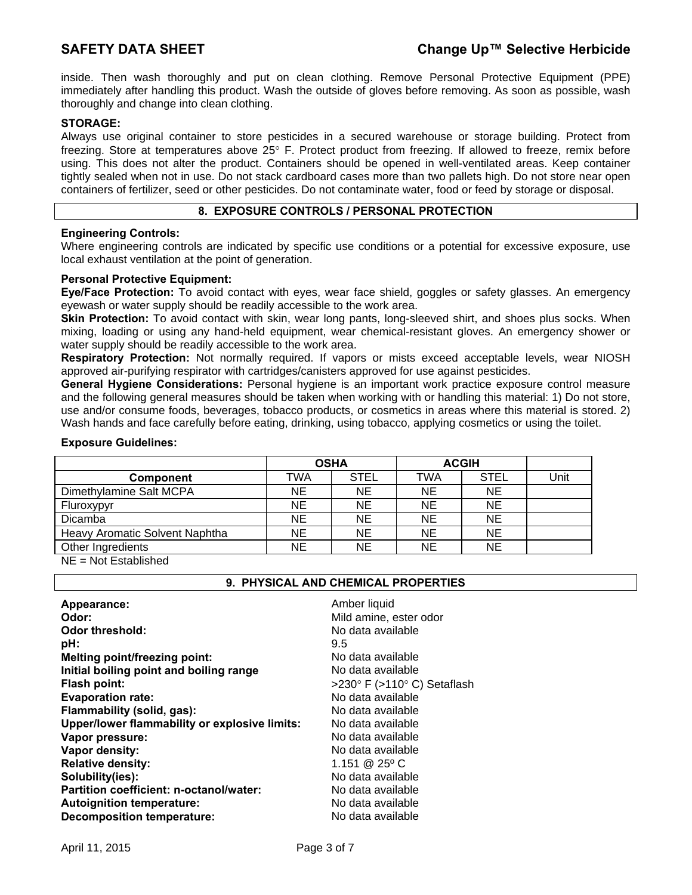inside. Then wash thoroughly and put on clean clothing. Remove Personal Protective Equipment (PPE) immediately after handling this product. Wash the outside of gloves before removing. As soon as possible, wash thoroughly and change into clean clothing.

# **STORAGE:**

Always use original container to store pesticides in a secured warehouse or storage building. Protect from freezing. Store at temperatures above 25° F. Protect product from freezing. If allowed to freeze, remix before using. This does not alter the product. Containers should be opened in well-ventilated areas. Keep container tightly sealed when not in use. Do not stack cardboard cases more than two pallets high. Do not store near open containers of fertilizer, seed or other pesticides. Do not contaminate water, food or feed by storage or disposal.

# **8. EXPOSURE CONTROLS / PERSONAL PROTECTION**

# **Engineering Controls:**

Where engineering controls are indicated by specific use conditions or a potential for excessive exposure, use local exhaust ventilation at the point of generation.

# **Personal Protective Equipment:**

**Eye/Face Protection:** To avoid contact with eyes, wear face shield, goggles or safety glasses. An emergency eyewash or water supply should be readily accessible to the work area.

**Skin Protection:** To avoid contact with skin, wear long pants, long-sleeved shirt, and shoes plus socks. When mixing, loading or using any hand-held equipment, wear chemical-resistant gloves. An emergency shower or water supply should be readily accessible to the work area.

**Respiratory Protection:** Not normally required. If vapors or mists exceed acceptable levels, wear NIOSH approved air-purifying respirator with cartridges/canisters approved for use against pesticides.

**General Hygiene Considerations:** Personal hygiene is an important work practice exposure control measure and the following general measures should be taken when working with or handling this material: 1) Do not store, use and/or consume foods, beverages, tobacco products, or cosmetics in areas where this material is stored. 2) Wash hands and face carefully before eating, drinking, using tobacco, applying cosmetics or using the toilet.

### **Exposure Guidelines:**

|                                | <b>OSHA</b> |           | <b>ACGIH</b> |             |      |
|--------------------------------|-------------|-----------|--------------|-------------|------|
| Component                      | TWA         | STEL      | <b>TWA</b>   | <b>STEL</b> | Unit |
| Dimethylamine Salt MCPA        | NE.         | <b>NE</b> | <b>NE</b>    | <b>NE</b>   |      |
| Fluroxypyr                     | <b>NE</b>   | <b>NE</b> | <b>NE</b>    | <b>NE</b>   |      |
| Dicamba                        | <b>NE</b>   | <b>NE</b> | <b>NE</b>    | <b>NE</b>   |      |
| Heavy Aromatic Solvent Naphtha | NE          | <b>NE</b> | <b>NE</b>    | <b>NE</b>   |      |
| Other Ingredients              | <b>NE</b>   | <b>NE</b> | <b>NE</b>    | NE          |      |

NE = Not Established

#### **9. PHYSICAL AND CHEMICAL PROPERTIES**

| Appearance:<br>Odor:                          | Amber liquid<br>Mild amine, ester odor |
|-----------------------------------------------|----------------------------------------|
| <b>Odor threshold:</b>                        | No data available                      |
| pH:                                           | 9.5                                    |
| <b>Melting point/freezing point:</b>          | No data available                      |
| Initial boiling point and boiling range       | No data available                      |
| <b>Flash point:</b>                           | >230° F (>110° C) Setaflash            |
| <b>Evaporation rate:</b>                      | No data available                      |
| Flammability (solid, gas):                    | No data available                      |
| Upper/lower flammability or explosive limits: | No data available                      |
| Vapor pressure:                               | No data available                      |
| Vapor density:                                | No data available                      |
| <b>Relative density:</b>                      | 1.151 @ 25 $\degree$ C                 |
| Solubility(ies):                              | No data available                      |
| Partition coefficient: n-octanol/water:       | No data available                      |
| <b>Autoignition temperature:</b>              | No data available                      |
| <b>Decomposition temperature:</b>             | No data available                      |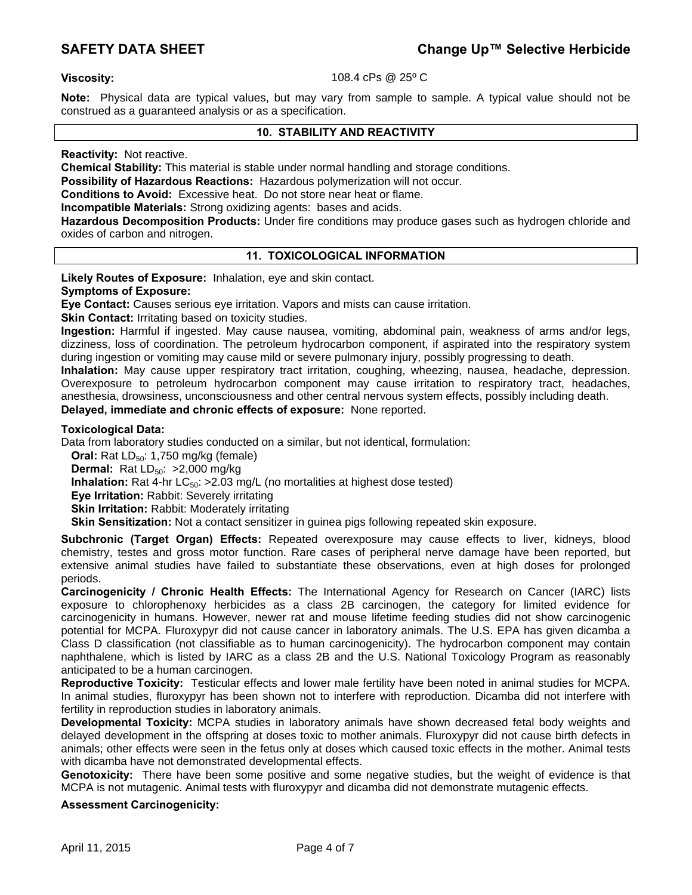**Viscosity:** 108.4 cPs @ 25º C

**Note:** Physical data are typical values, but may vary from sample to sample. A typical value should not be construed as a guaranteed analysis or as a specification.

# **10. STABILITY AND REACTIVITY**

**Reactivity:** Not reactive.

**Chemical Stability:** This material is stable under normal handling and storage conditions.

**Possibility of Hazardous Reactions:** Hazardous polymerization will not occur.

**Conditions to Avoid:** Excessive heat. Do not store near heat or flame.

**Incompatible Materials:** Strong oxidizing agents: bases and acids.

**Hazardous Decomposition Products:** Under fire conditions may produce gases such as hydrogen chloride and oxides of carbon and nitrogen.

#### **11. TOXICOLOGICAL INFORMATION**

**Likely Routes of Exposure:** Inhalation, eye and skin contact.

**Symptoms of Exposure:** 

**Eye Contact:** Causes serious eye irritation. Vapors and mists can cause irritation.

**Skin Contact: Irritating based on toxicity studies.** 

**Ingestion:** Harmful if ingested. May cause nausea, vomiting, abdominal pain, weakness of arms and/or legs, dizziness, loss of coordination. The petroleum hydrocarbon component, if aspirated into the respiratory system during ingestion or vomiting may cause mild or severe pulmonary injury, possibly progressing to death.

**Inhalation:** May cause upper respiratory tract irritation, coughing, wheezing, nausea, headache, depression. Overexposure to petroleum hydrocarbon component may cause irritation to respiratory tract, headaches, anesthesia, drowsiness, unconsciousness and other central nervous system effects, possibly including death. **Delayed, immediate and chronic effects of exposure:** None reported.

# **Toxicological Data:**

Data from laboratory studies conducted on a similar, but not identical, formulation:

**Oral:** Rat LD<sub>50</sub>: 1,750 mg/kg (female)

**Dermal:** Rat  $LD_{50}$ :  $>2,000$  mg/kg

**Inhalation:** Rat 4-hr  $LC_{50}$ :  $>2.03$  mg/L (no mortalities at highest dose tested)

**Eye Irritation:** Rabbit: Severely irritating

**Skin Irritation: Rabbit: Moderately irritating** 

**Skin Sensitization:** Not a contact sensitizer in guinea pigs following repeated skin exposure.

**Subchronic (Target Organ) Effects:** Repeated overexposure may cause effects to liver, kidneys, blood chemistry, testes and gross motor function. Rare cases of peripheral nerve damage have been reported, but extensive animal studies have failed to substantiate these observations, even at high doses for prolonged periods.

**Carcinogenicity / Chronic Health Effects:** The International Agency for Research on Cancer (IARC) lists exposure to chlorophenoxy herbicides as a class 2B carcinogen, the category for limited evidence for carcinogenicity in humans. However, newer rat and mouse lifetime feeding studies did not show carcinogenic potential for MCPA. Fluroxypyr did not cause cancer in laboratory animals. The U.S. EPA has given dicamba a Class D classification (not classifiable as to human carcinogenicity). The hydrocarbon component may contain naphthalene, which is listed by IARC as a class 2B and the U.S. National Toxicology Program as reasonably anticipated to be a human carcinogen.

**Reproductive Toxicity:** Testicular effects and lower male fertility have been noted in animal studies for MCPA. In animal studies, fluroxypyr has been shown not to interfere with reproduction. Dicamba did not interfere with fertility in reproduction studies in laboratory animals.

**Developmental Toxicity:** MCPA studies in laboratory animals have shown decreased fetal body weights and delayed development in the offspring at doses toxic to mother animals. Fluroxypyr did not cause birth defects in animals; other effects were seen in the fetus only at doses which caused toxic effects in the mother. Animal tests with dicamba have not demonstrated developmental effects.

**Genotoxicity:** There have been some positive and some negative studies, but the weight of evidence is that MCPA is not mutagenic. Animal tests with fluroxypyr and dicamba did not demonstrate mutagenic effects.

#### **Assessment Carcinogenicity:**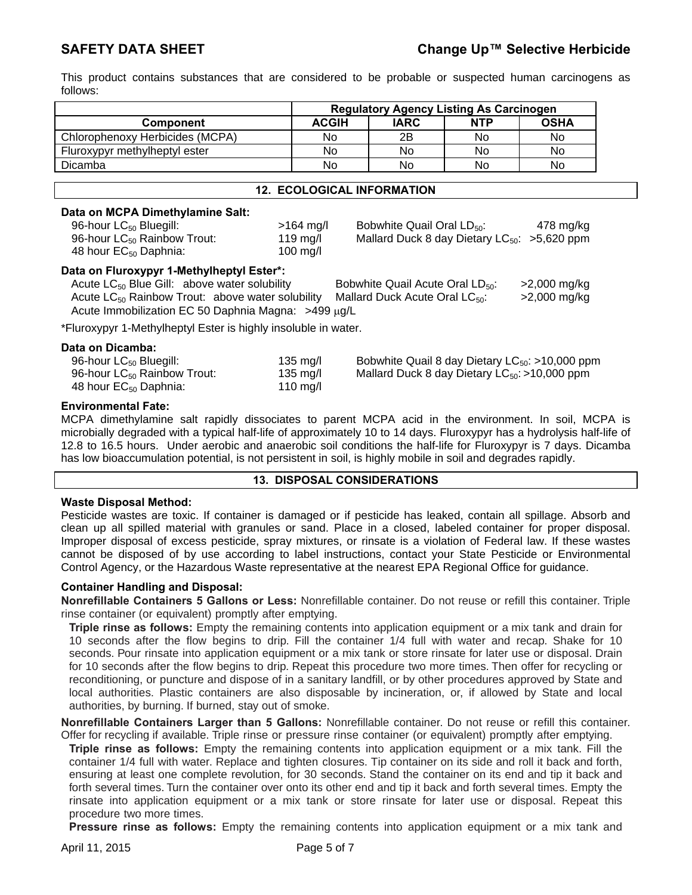This product contains substances that are considered to be probable or suspected human carcinogens as follows:

|                                                                                                                                                                                                                                                                                                                                                         |              | <b>Regulatory Agency Listing As Carcinogen</b>       |            |             |  |  |  |  |
|---------------------------------------------------------------------------------------------------------------------------------------------------------------------------------------------------------------------------------------------------------------------------------------------------------------------------------------------------------|--------------|------------------------------------------------------|------------|-------------|--|--|--|--|
| <b>Component</b>                                                                                                                                                                                                                                                                                                                                        | <b>ACGIH</b> | <b>IARC</b>                                          | <b>NTP</b> | <b>OSHA</b> |  |  |  |  |
| Chlorophenoxy Herbicides (MCPA)                                                                                                                                                                                                                                                                                                                         | No.          | 2B                                                   | No.        | No.         |  |  |  |  |
| Fluroxypyr methylheptyl ester                                                                                                                                                                                                                                                                                                                           | No.          | No.                                                  | No.        | No.         |  |  |  |  |
| Dicamba                                                                                                                                                                                                                                                                                                                                                 | No.          | No.                                                  | No.        | No.         |  |  |  |  |
|                                                                                                                                                                                                                                                                                                                                                         |              |                                                      |            |             |  |  |  |  |
| 12. ECOLOGICAL INFORMATION                                                                                                                                                                                                                                                                                                                              |              |                                                      |            |             |  |  |  |  |
| Data on MCPA Dimethylamine Salt:<br>96-hour LC <sub>50</sub> Bluegill:<br>Bobwhite Quail Oral LD <sub>50</sub> :<br>478 mg/kg<br>$>164$ mg/l<br>Mallard Duck 8 day Dietary $LC_{50}$ : >5,620 ppm<br>96-hour LC <sub>50</sub> Rainbow Trout:<br>119 mg/l<br>48 hour EC <sub>50</sub> Daphnia:<br>$100$ mg/l                                             |              |                                                      |            |             |  |  |  |  |
| Data on Fluroxypyr 1-Methylheptyl Ester*:<br>Acute $LC_{50}$ Blue Gill: above water solubility<br>Bobwhite Quail Acute Oral LD <sub>50</sub> :<br>$>2,000$ mg/kg<br>$>2,000$ mg/kg<br>Acute LC <sub>50</sub> Rainbow Trout: above water solubility<br>Mallard Duck Acute Oral LC <sub>50</sub> :<br>Acute Immobilization EC 50 Daphnia Magna: >499 µg/L |              |                                                      |            |             |  |  |  |  |
| *Fluroxypyr 1-Methylheptyl Ester is highly insoluble in water.                                                                                                                                                                                                                                                                                          |              |                                                      |            |             |  |  |  |  |
| Data on Dicamba:<br>96-hour LC <sub>50</sub> Bluegill:                                                                                                                                                                                                                                                                                                  | 135 $mg/l$   | Bobwhite Quail 8 day Dietary $LC_{50}$ : >10,000 ppm |            |             |  |  |  |  |

#### **Environmental Fate:**

MCPA dimethylamine salt rapidly dissociates to parent MCPA acid in the environment. In soil, MCPA is microbially degraded with a typical half-life of approximately 10 to 14 days. Fluroxypyr has a hydrolysis half-life of 12.8 to 16.5 hours. Under aerobic and anaerobic soil conditions the half-life for Fluroxypyr is 7 days. Dicamba has low bioaccumulation potential, is not persistent in soil, is highly mobile in soil and degrades rapidly.

96-hour LC<sub>50</sub> Rainbow Trout: 135 mg/l Mallard Duck 8 day Dietary LC<sub>50</sub>: >10,000 ppm

#### **13. DISPOSAL CONSIDERATIONS**

# **Waste Disposal Method:**

Pesticide wastes are toxic. If container is damaged or if pesticide has leaked, contain all spillage. Absorb and clean up all spilled material with granules or sand. Place in a closed, labeled container for proper disposal. Improper disposal of excess pesticide, spray mixtures, or rinsate is a violation of Federal law. If these wastes cannot be disposed of by use according to label instructions, contact your State Pesticide or Environmental Control Agency, or the Hazardous Waste representative at the nearest EPA Regional Office for guidance.

# **Container Handling and Disposal:**

48 hour EC<sub>50</sub> Daphnia: 110 mg/l

**Nonrefillable Containers 5 Gallons or Less:** Nonrefillable container. Do not reuse or refill this container. Triple rinse container (or equivalent) promptly after emptying.

**Triple rinse as follows:** Empty the remaining contents into application equipment or a mix tank and drain for 10 seconds after the flow begins to drip. Fill the container 1/4 full with water and recap. Shake for 10 seconds. Pour rinsate into application equipment or a mix tank or store rinsate for later use or disposal. Drain for 10 seconds after the flow begins to drip. Repeat this procedure two more times. Then offer for recycling or reconditioning, or puncture and dispose of in a sanitary landfill, or by other procedures approved by State and local authorities. Plastic containers are also disposable by incineration, or, if allowed by State and local authorities, by burning. If burned, stay out of smoke.

**Nonrefillable Containers Larger than 5 Gallons:** Nonrefillable container. Do not reuse or refill this container. Offer for recycling if available. Triple rinse or pressure rinse container (or equivalent) promptly after emptying.

**Triple rinse as follows:** Empty the remaining contents into application equipment or a mix tank. Fill the container 1/4 full with water. Replace and tighten closures. Tip container on its side and roll it back and forth, ensuring at least one complete revolution, for 30 seconds. Stand the container on its end and tip it back and forth several times. Turn the container over onto its other end and tip it back and forth several times. Empty the rinsate into application equipment or a mix tank or store rinsate for later use or disposal. Repeat this procedure two more times.

**Pressure rinse as follows:** Empty the remaining contents into application equipment or a mix tank and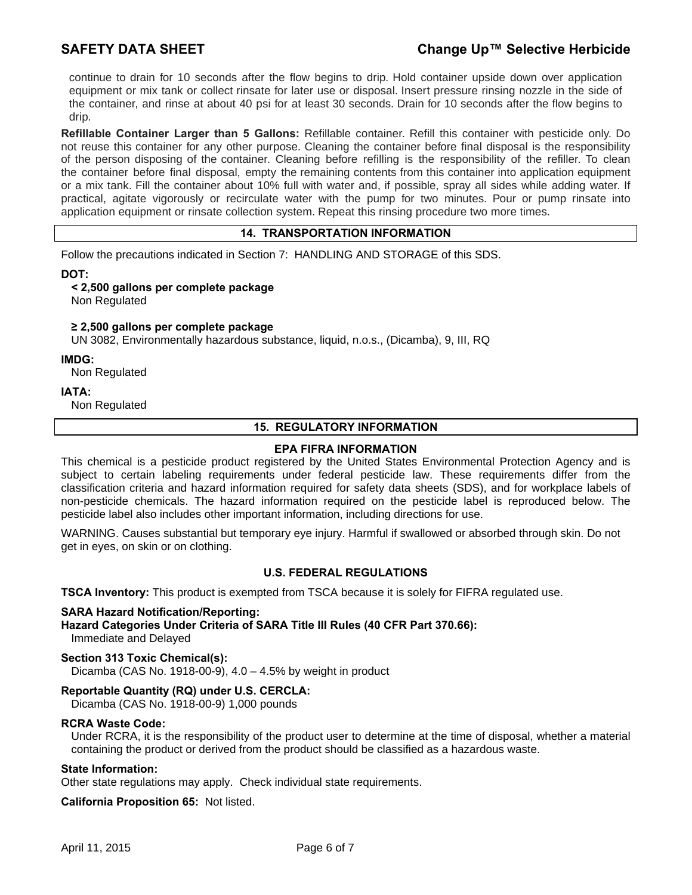# **SAFETY DATA SHEET Change Up™ Selective Herbicide**

continue to drain for 10 seconds after the flow begins to drip. Hold container upside down over application equipment or mix tank or collect rinsate for later use or disposal. Insert pressure rinsing nozzle in the side of the container, and rinse at about 40 psi for at least 30 seconds. Drain for 10 seconds after the flow begins to drip.

**Refillable Container Larger than 5 Gallons:** Refillable container. Refill this container with pesticide only. Do not reuse this container for any other purpose. Cleaning the container before final disposal is the responsibility of the person disposing of the container. Cleaning before refilling is the responsibility of the refiller. To clean the container before final disposal, empty the remaining contents from this container into application equipment or a mix tank. Fill the container about 10% full with water and, if possible, spray all sides while adding water. If practical, agitate vigorously or recirculate water with the pump for two minutes. Pour or pump rinsate into application equipment or rinsate collection system. Repeat this rinsing procedure two more times.

### **14. TRANSPORTATION INFORMATION**

Follow the precautions indicated in Section 7: HANDLING AND STORAGE of this SDS.

#### **DOT:**

# **< 2,500 gallons per complete package**

Non Regulated

#### **≥ 2,500 gallons per complete package**

UN 3082, Environmentally hazardous substance, liquid, n.o.s., (Dicamba), 9, III, RQ

#### **IMDG:**

Non Regulated

#### **IATA:**

Non Regulated

#### **15. REGULATORY INFORMATION**

#### **EPA FIFRA INFORMATION**

This chemical is a pesticide product registered by the United States Environmental Protection Agency and is subject to certain labeling requirements under federal pesticide law. These requirements differ from the classification criteria and hazard information required for safety data sheets (SDS), and for workplace labels of non-pesticide chemicals. The hazard information required on the pesticide label is reproduced below. The pesticide label also includes other important information, including directions for use.

WARNING. Causes substantial but temporary eye injury. Harmful if swallowed or absorbed through skin. Do not get in eyes, on skin or on clothing.

### **U.S. FEDERAL REGULATIONS**

**TSCA Inventory:** This product is exempted from TSCA because it is solely for FIFRA regulated use.

### **SARA Hazard Notification/Reporting: Hazard Categories Under Criteria of SARA Title III Rules (40 CFR Part 370.66):** Immediate and Delayed

#### **Section 313 Toxic Chemical(s):**

Dicamba (CAS No. 1918-00-9), 4.0 – 4.5% by weight in product

#### **Reportable Quantity (RQ) under U.S. CERCLA:**

Dicamba (CAS No. 1918-00-9) 1,000 pounds

#### **RCRA Waste Code:**

Under RCRA, it is the responsibility of the product user to determine at the time of disposal, whether a material containing the product or derived from the product should be classified as a hazardous waste.

#### **State Information:**

Other state regulations may apply. Check individual state requirements.

**California Proposition 65:** Not listed.